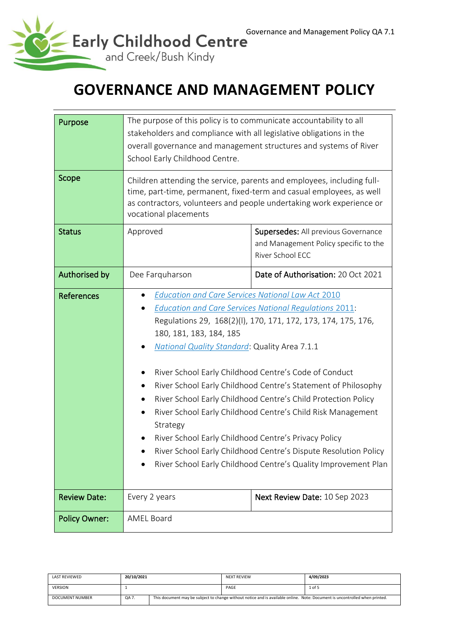

# **GOVERNANCE AND MANAGEMENT POLICY**

| Purpose              | The purpose of this policy is to communicate accountability to all<br>stakeholders and compliance with all legislative obligations in the<br>overall governance and management structures and systems of River<br>School Early Childhood Centre.                                                                                                                                                                                                                                                                                                                                                                                                                                                                                                 |                                                                                                  |  |  |
|----------------------|--------------------------------------------------------------------------------------------------------------------------------------------------------------------------------------------------------------------------------------------------------------------------------------------------------------------------------------------------------------------------------------------------------------------------------------------------------------------------------------------------------------------------------------------------------------------------------------------------------------------------------------------------------------------------------------------------------------------------------------------------|--------------------------------------------------------------------------------------------------|--|--|
| Scope                | Children attending the service, parents and employees, including full-<br>time, part-time, permanent, fixed-term and casual employees, as well<br>as contractors, volunteers and people undertaking work experience or<br>vocational placements                                                                                                                                                                                                                                                                                                                                                                                                                                                                                                  |                                                                                                  |  |  |
| <b>Status</b>        | Approved                                                                                                                                                                                                                                                                                                                                                                                                                                                                                                                                                                                                                                                                                                                                         | Supersedes: All previous Governance<br>and Management Policy specific to the<br>River School ECC |  |  |
| Authorised by        | Dee Farquharson                                                                                                                                                                                                                                                                                                                                                                                                                                                                                                                                                                                                                                                                                                                                  | Date of Authorisation: 20 Oct 2021                                                               |  |  |
| <b>References</b>    | <b>Education and Care Services National Law Act 2010</b><br><b>Education and Care Services National Regulations 2011:</b><br>Regulations 29, 168(2)(I), 170, 171, 172, 173, 174, 175, 176,<br>180, 181, 183, 184, 185<br><b>National Quality Standard: Quality Area 7.1.1</b><br>River School Early Childhood Centre's Code of Conduct<br>River School Early Childhood Centre's Statement of Philosophy<br>River School Early Childhood Centre's Child Protection Policy<br>River School Early Childhood Centre's Child Risk Management<br>Strategy<br>River School Early Childhood Centre's Privacy Policy<br>River School Early Childhood Centre's Dispute Resolution Policy<br>River School Early Childhood Centre's Quality Improvement Plan |                                                                                                  |  |  |
| <b>Review Date:</b>  | Every 2 years                                                                                                                                                                                                                                                                                                                                                                                                                                                                                                                                                                                                                                                                                                                                    | Next Review Date: 10 Sep 2023                                                                    |  |  |
| <b>Policy Owner:</b> | <b>AMEL Board</b>                                                                                                                                                                                                                                                                                                                                                                                                                                                                                                                                                                                                                                                                                                                                |                                                                                                  |  |  |

| <b>LAST REVIEWED</b>   | 20/10/2021 |                                                                                                                             | <b>NEXT REVIEW</b> | 4/09/2023 |
|------------------------|------------|-----------------------------------------------------------------------------------------------------------------------------|--------------------|-----------|
| <b>VERSION</b>         |            |                                                                                                                             | PAGE               | 1 of 5    |
| <b>DOCUMENT NUMBER</b> | QA 7.      | This document may be subject to change without notice and is available online. Note: Document is uncontrolled when printed. |                    |           |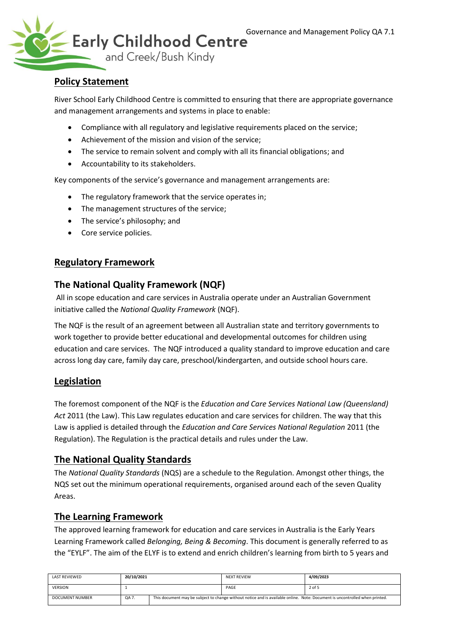

# **Policy Statement**

River School Early Childhood Centre is committed to ensuring that there are appropriate governance and management arrangements and systems in place to enable:

- Compliance with all regulatory and legislative requirements placed on the service;
- Achievement of the mission and vision of the service;
- The service to remain solvent and comply with all its financial obligations; and
- Accountability to its stakeholders.

Key components of the service's governance and management arrangements are:

- The regulatory framework that the service operates in;
- The management structures of the service;
- The service's philosophy; and
- Core service policies.

## **Regulatory Framework**

### **The National Quality Framework (NQF)**

All in scope education and care services in Australia operate under an Australian Government initiative called the *National Quality Framework* (NQF).

The NQF is the result of an agreement between all Australian state and territory governments to work together to provide better educational and developmental outcomes for children using education and care services. The NQF introduced a quality standard to improve education and care across long day care, family day care, preschool/kindergarten, and outside school hours care.

### **Legislation**

The foremost component of the NQF is the *Education and Care Services National Law (Queensland) Act* 2011 (the Law). This Law regulates education and care services for children. The way that this Law is applied is detailed through the *Education and Care Services National Regulation* 2011 (the Regulation). The Regulation is the practical details and rules under the Law.

### **The National Quality Standards**

The *National Quality Standards* (NQS) are a schedule to the Regulation. Amongst other things, the NQS set out the minimum operational requirements, organised around each of the seven Quality Areas.

### **The Learning Framework**

The approved learning framework for education and care services in Australia is the Early Years Learning Framework called *Belonging, Being & Becoming*. This document is generally referred to as the "EYLF". The aim of the ELYF is to extend and enrich children's learning from birth to 5 years and

| LAST REVIEWED          | 20/10/2021 |                                                                                                                             | <b>NEXT REVIEW</b> | 4/09/2023 |
|------------------------|------------|-----------------------------------------------------------------------------------------------------------------------------|--------------------|-----------|
| <b>VERSION</b>         |            |                                                                                                                             | PAGE               | 2 of 5    |
| <b>DOCUMENT NUMBER</b> | QA 7.      | This document may be subject to change without notice and is available online. Note: Document is uncontrolled when printed. |                    |           |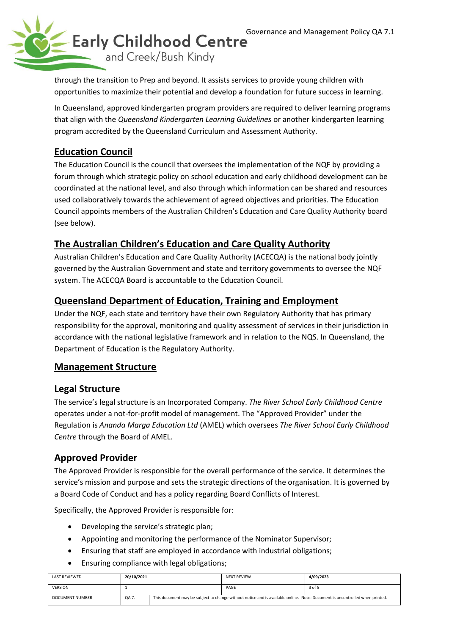

through the transition to Prep and beyond. It assists services to provide young children with opportunities to maximize their potential and develop a foundation for future success in learning.

In Queensland, approved kindergarten program providers are required to deliver learning programs that align with the *Queensland Kindergarten Learning Guidelines* or another kindergarten learning program accredited by the Queensland Curriculum and Assessment Authority.

# **Education Council**

The Education Council is the council that oversees the implementation of the NQF by providing a forum through which strategic policy on school education and early childhood development can be coordinated at the national level, and also through which information can be shared and resources used collaboratively towards the achievement of agreed objectives and priorities. The Education Council appoints members of the Australian Children's Education and Care Quality Authority board (see below).

# **The Australian Children's Education and Care Quality Authority**

Australian Children's Education and Care Quality Authority (ACECQA) is the national body jointly governed by the Australian Government and state and territory governments to oversee the NQF system. The ACECQA Board is accountable to the Education Council.

# **Queensland Department of Education, Training and Employment**

Under the NQF, each state and territory have their own Regulatory Authority that has primary responsibility for the approval, monitoring and quality assessment of services in their jurisdiction in accordance with the national legislative framework and in relation to the NQS. In Queensland, the Department of Education is the Regulatory Authority.

# **Management Structure**

### **Legal Structure**

The service's legal structure is an Incorporated Company. *The River School Early Childhood Centre* operates under a not-for-profit model of management. The "Approved Provider" under the Regulation is *Ananda Marga Education Ltd* (AMEL) which oversees *The River School Early Childhood Centre* through the Board of AMEL.

# **Approved Provider**

The Approved Provider is responsible for the overall performance of the service. It determines the service's mission and purpose and sets the strategic directions of the organisation. It is governed by a Board Code of Conduct and has a policy regarding Board Conflicts of Interest.

Specifically, the Approved Provider is responsible for:

- Developing the service's strategic plan;
- Appointing and monitoring the performance of the Nominator Supervisor;
- Ensuring that staff are employed in accordance with industrial obligations;
- Ensuring compliance with legal obligations;

| <b>LAST REVIEWED</b> | 20/10/2021 |                                                                                                                             | <b>NEXT REVIEW</b> | 4/09/2023 |
|----------------------|------------|-----------------------------------------------------------------------------------------------------------------------------|--------------------|-----------|
| <b>VERSION</b>       |            |                                                                                                                             | PAGE               | 3 of 5    |
| DOCUMENT NUMBER      | QA 7.      | This document may be subject to change without notice and is available online. Note: Document is uncontrolled when printed. |                    |           |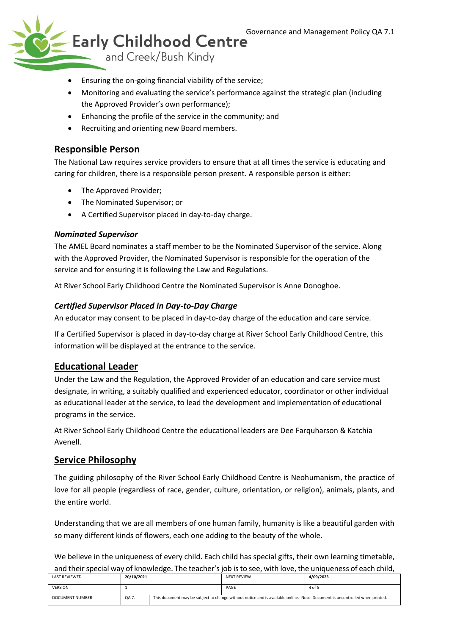

- Ensuring the on-going financial viability of the service;
- Monitoring and evaluating the service's performance against the strategic plan (including the Approved Provider's own performance);
- Enhancing the profile of the service in the community; and
- Recruiting and orienting new Board members.

## **Responsible Person**

The National Law requires service providers to ensure that at all times the service is educating and caring for children, there is a responsible person present. A responsible person is either:

- The Approved Provider;
- The Nominated Supervisor; or
- A Certified Supervisor placed in day-to-day charge.

#### *Nominated Supervisor*

The AMEL Board nominates a staff member to be the Nominated Supervisor of the service. Along with the Approved Provider, the Nominated Supervisor is responsible for the operation of the service and for ensuring it is following the Law and Regulations.

At River School Early Childhood Centre the Nominated Supervisor is Anne Donoghoe.

#### *Certified Supervisor Placed in Day-to-Day Charge*

An educator may consent to be placed in day-to-day charge of the education and care service.

If a Certified Supervisor is placed in day-to-day charge at River School Early Childhood Centre, this information will be displayed at the entrance to the service.

### **Educational Leader**

Under the Law and the Regulation, the Approved Provider of an education and care service must designate, in writing, a suitably qualified and experienced educator, coordinator or other individual as educational leader at the service, to lead the development and implementation of educational programs in the service.

At River School Early Childhood Centre the educational leaders are Dee Farquharson & Katchia Avenell.

#### **Service Philosophy**

The guiding philosophy of the River School Early Childhood Centre is Neohumanism, the practice of love for all people (regardless of race, gender, culture, orientation, or religion), animals, plants, and the entire world.

Understanding that we are all members of one human family, humanity is like a beautiful garden with so many different kinds of flowers, each one adding to the beauty of the whole.

We believe in the uniqueness of every child. Each child has special gifts, their own learning timetable, and their special way of knowledge. The teacher's job is to see, with love, the uniqueness of each child,

| <b>LAST REVIEWED</b> | 20/10/2021 |                                                                                                                             | <b>NEXT REVIEW</b> | 4/09/2023 |
|----------------------|------------|-----------------------------------------------------------------------------------------------------------------------------|--------------------|-----------|
| <b>VERSION</b>       |            |                                                                                                                             | PAGE               | 4 of 5    |
| DOCUMENT NUMBER      | QA 7.      | This document may be subject to change without notice and is available online. Note: Document is uncontrolled when printed. |                    |           |